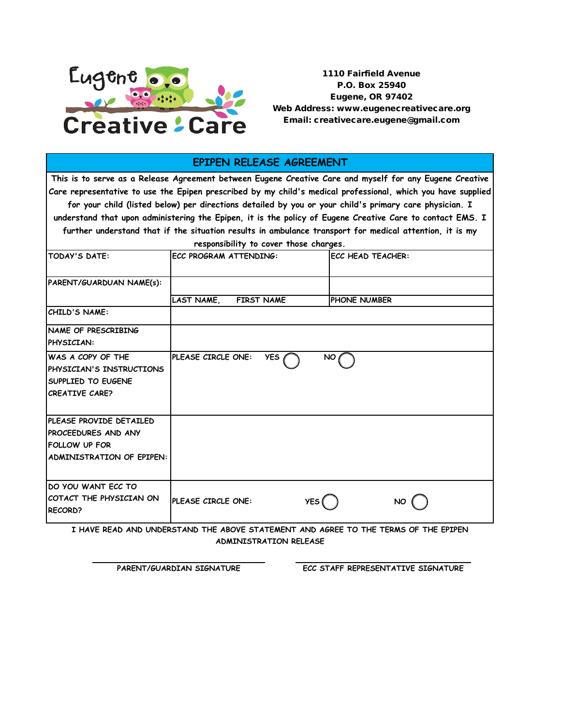

1110 Fairfield Avenue P.O. Box 25940 Eugene, OR 97402 Web Address: www.eugenecreativecare.org Email: creativecare.eugene@gmail.com

## **EPIPEN RELEASE AGREEMENT**

**This is to serve as a Release Agreement between Eugene Creative Care and myself for any Eugene Creative Care representative to use the Epipen prescribed by my child's medical professional, which you have supplied for your child (listed below) per directions detailed by you or your child's primary care physician. I** 

**understand that upon administering the Epipen, it is the policy of Eugene Creative Care to contact EMS. I further understand that if the situation results in ambulance transport for medical attention, it is my** 

**responsibility to cover those charges.**

| TODAY'S DATE:                                                                                                      | <b>ECC PROGRAM ATTENDING:</b>    | <b>ECC HEAD TEACHER:</b> |
|--------------------------------------------------------------------------------------------------------------------|----------------------------------|--------------------------|
| PARENT/GUARDUAN NAME(s):                                                                                           |                                  |                          |
|                                                                                                                    | LAST NAME,<br><b>FIRST NAME</b>  | <b>PHONE NUMBER</b>      |
| CHILD'S NAME:                                                                                                      |                                  |                          |
| <b>INAME OF PRESCRIBING</b><br>PHYSICIAN:                                                                          |                                  |                          |
| IWAS A COPY OF THE<br><b>IPHYSICIAN'S INSTRUCTIONS</b><br>SUPPLIED TO EUGENE<br><b>CREATIVE CARE?</b>              | PLEASE CIRCLE ONE:<br><b>YES</b> | NO <sub>0</sub>          |
| <b>IPLEASE PROVIDE DETAILED</b><br><b>PROCEEDURES AND ANY</b><br><b>FOLLOW UP FOR</b><br>ADMINISTRATION OF EPIPEN: |                                  |                          |
| IDO YOU WANT ECC TO<br>COTACT THE PHYSICIAN ON<br><b>RECORD?</b>                                                   | PLEASE CIRCLE ONE:<br>YES(       | NO.                      |

**I HAVE READ AND UNDERSTAND THE ABOVE STATEMENT AND AGREE TO THE TERMS OF THE EPIPEN ADMINISTRATION RELEASE**

**PARENT/GUARDIAN SIGNATURE ECC STAFF REPRESENTATIVE SIGNATURE**